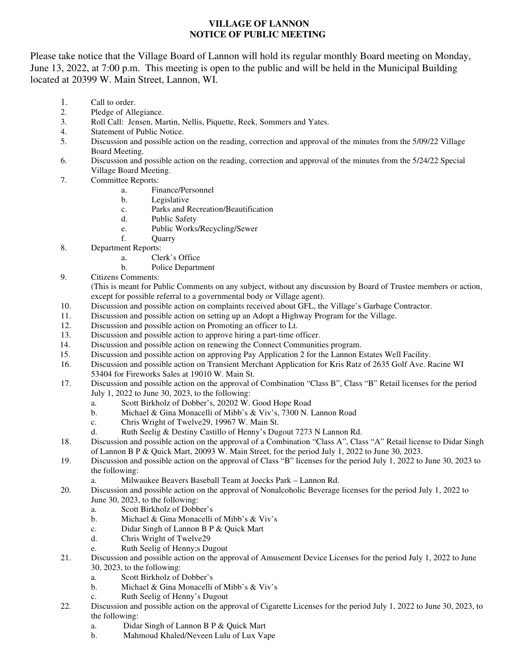## **VILLAGE OF LANNON NOTICE OF PUBLIC MEETING**

Please take notice that the Village Board of Lannon will hold its regular monthly Board meeting on Monday, June 13, 2022, at 7:00 p.m. This meeting is open to the public and will be held in the Municipal Building located at 20399 W. Main Street, Lannon, WI.

- 1. Call to order.<br>2. Pledge of Alle
- Pledge of Allegiance.
- 3. Roll Call: Jensen, Martin, Nellis, Piquette, Reek, Sommers and Yates.
- 4. Statement of Public Notice.<br>5. Discussion and possible acti
- Discussion and possible action on the reading, correction and approval of the minutes from the 5/09/22 Village Board Meeting.
- 6. Discussion and possible action on the reading, correction and approval of the minutes from the 5/24/22 Special Village Board Meeting.
- 7. Committee Reports:
	- a. Finance/Personnel
	- b. Legislative
	- c. Parks and Recreation/Beautification
	- d. Public Safety
	- e. Public Works/Recycling/Sewer
	- f. Quarry
- 8. Department Reports:
	- a. Clerk's Office
	- b. Police Department
- 9. Citizens Comments:

(This is meant for Public Comments on any subject, without any discussion by Board of Trustee members or action, except for possible referral to a governmental body or Village agent).

- 10. Discussion and possible action on complaints received about GFL, the Village's Garbage Contractor.
- 11. Discussion and possible action on setting up an Adopt a Highway Program for the Village.
- 12. Discussion and possible action on Promoting an officer to Lt.
- 13. Discussion and possible action to approve hiring a part-time officer.
- 14. Discussion and possible action on renewing the Connect Communities program.
- 15. Discussion and possible action on approving Pay Application 2 for the Lannon Estates Well Facility.
- 16. Discussion and possible action on Transient Merchant Application for Kris Ratz of 2635 Golf Ave. Racine WI 53404 for Fireworks Sales at 19010 W. Main St.
- 17. Discussion and possible action on the approval of Combination "Class B", Class "B" Retail licenses for the period July 1, 2022 to June 30, 2023, to the following:
	- a. Scott Birkholz of Dobber's, 20202 W. Good Hope Road
	- b. Michael & Gina Monacelli of Mibb's & Viv's, 7300 N. Lannon Road
	- c. Chris Wright of Twelve29, 19967 W. Main St.
	- d. Ruth Seelig & Destiny Castillo of Henny's Dugout 7273 N Lannon Rd.
- 18. Discussion and possible action on the approval of a Combination "Class A", Class "A" Retail license to Didar Singh of Lannon B P & Quick Mart, 20093 W. Main Street, for the period July 1, 2022 to June 30, 2023.
- 19. Discussion and possible action on the approval of Class "B" licenses for the period July 1, 2022 to June 30, 2023 to the following:
	- a. Milwaukee Beavers Baseball Team at Joecks Park Lannon Rd.
- 20. Discussion and possible action on the approval of Nonalcoholic Beverage licenses for the period July 1, 2022 to June 30, 2023, to the following:
	- a. Scott Birkholz of Dobber's
	- b. Michael & Gina Monacelli of Mibb's & Viv's
	- c. Didar Singh of Lannon B P & Quick Mart
	- d. Chris Wright of Twelve29
	- e. Ruth Seelig of Henny;s Dugout
- 21. Discussion and possible action on the approval of Amusement Device Licenses for the period July 1, 2022 to June 30, 2023, to the following:
	- a. Scott Birkholz of Dobber's
	- b. Michael & Gina Monacelli of Mibb's & Viv's
	- c. Ruth Seelig of Henny's Dugout
- 22. Discussion and possible action on the approval of Cigarette Licenses for the period July 1, 2022 to June 30, 2023, to the following:
	- a. Didar Singh of Lannon B P & Quick Mart
	- b. Mahmoud Khaled/Neveen Lulu of Lux Vape